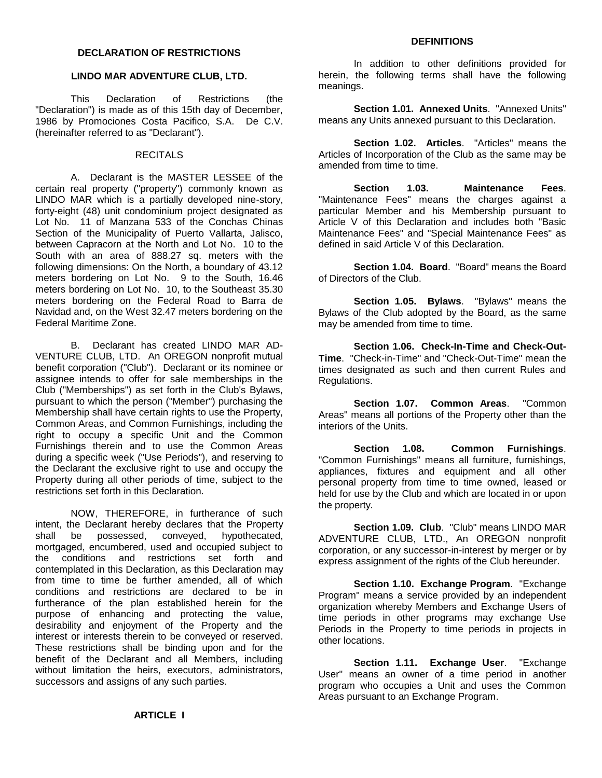#### **DECLARATION OF RESTRICTIONS**

# **LINDO MAR ADVENTURE CLUB, LTD.**

This Declaration of Restrictions (the "Declaration") is made as of this 15th day of December, 1986 by Promociones Costa Pacifico, S.A. De C.V. (hereinafter referred to as "Declarant").

## RECITALS

A. Declarant is the MASTER LESSEE of the certain real property ("property") commonly known as LINDO MAR which is a partially developed nine-story, forty-eight (48) unit condominium project designated as Lot No. 11 of Manzana 533 of the Conchas Chinas Section of the Municipality of Puerto Vallarta, Jalisco, between Capracorn at the North and Lot No. 10 to the South with an area of 888.27 sq. meters with the following dimensions: On the North, a boundary of 43.12 meters bordering on Lot No. 9 to the South, 16.46 meters bordering on Lot No. 10, to the Southeast 35.30 meters bordering on the Federal Road to Barra de Navidad and, on the West 32.47 meters bordering on the Federal Maritime Zone.

B. Declarant has created LINDO MAR AD-VENTURE CLUB, LTD. An OREGON nonprofit mutual benefit corporation ("Club"). Declarant or its nominee or assignee intends to offer for sale memberships in the Club ("Memberships") as set forth in the Club's Bylaws, pursuant to which the person ("Member") purchasing the Membership shall have certain rights to use the Property, Common Areas, and Common Furnishings, including the right to occupy a specific Unit and the Common Furnishings therein and to use the Common Areas during a specific week ("Use Periods"), and reserving to the Declarant the exclusive right to use and occupy the Property during all other periods of time, subject to the restrictions set forth in this Declaration.

NOW, THEREFORE, in furtherance of such intent, the Declarant hereby declares that the Property shall be possessed, conveyed, hypothecated, mortgaged, encumbered, used and occupied subject to the conditions and restrictions set forth and contemplated in this Declaration, as this Declaration may from time to time be further amended, all of which conditions and restrictions are declared to be in furtherance of the plan established herein for the purpose of enhancing and protecting the value, desirability and enjoyment of the Property and the interest or interests therein to be conveyed or reserved. These restrictions shall be binding upon and for the benefit of the Declarant and all Members, including without limitation the heirs, executors, administrators, successors and assigns of any such parties.

# **DEFINITIONS**

In addition to other definitions provided for herein, the following terms shall have the following meanings.

**Section 1.01. Annexed Units**. "Annexed Units" means any Units annexed pursuant to this Declaration.

**Section 1.02. Articles**. "Articles" means the Articles of Incorporation of the Club as the same may be amended from time to time.

**Section 1.03. Maintenance Fees**. "Maintenance Fees" means the charges against a particular Member and his Membership pursuant to Article V of this Declaration and includes both "Basic Maintenance Fees" and "Special Maintenance Fees" as defined in said Article V of this Declaration.

**Section 1.04. Board**. "Board" means the Board of Directors of the Club.

**Section 1.05. Bylaws**. "Bylaws" means the Bylaws of the Club adopted by the Board, as the same may be amended from time to time.

**Section 1.06. Check-In-Time and Check-Out-Time**. "Check-in-Time" and "Check-Out-Time" mean the times designated as such and then current Rules and Regulations.

**Section 1.07. Common Areas**. "Common Areas" means all portions of the Property other than the interiors of the Units.

**Section 1.08. Common Furnishings**. "Common Furnishings" means all furniture, furnishings, appliances, fixtures and equipment and all other personal property from time to time owned, leased or held for use by the Club and which are located in or upon the property.

**Section 1.09. Club**. "Club" means LINDO MAR ADVENTURE CLUB, LTD., An OREGON nonprofit corporation, or any successor-in-interest by merger or by express assignment of the rights of the Club hereunder.

**Section 1.10. Exchange Program**. "Exchange Program" means a service provided by an independent organization whereby Members and Exchange Users of time periods in other programs may exchange Use Periods in the Property to time periods in projects in other locations.

**Section 1.11. Exchange User**. "Exchange User" means an owner of a time period in another program who occupies a Unit and uses the Common Areas pursuant to an Exchange Program.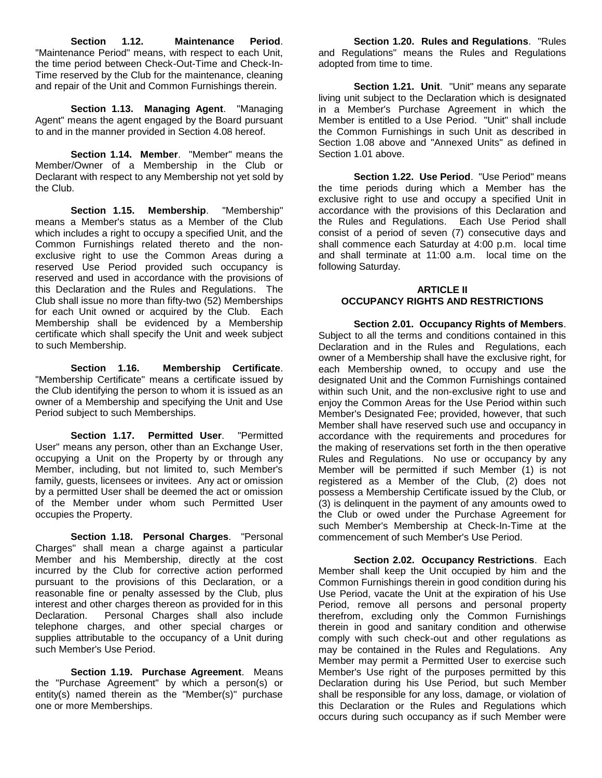**Section 1.12. Maintenance Period**. "Maintenance Period" means, with respect to each Unit, the time period between Check-Out-Time and Check-In-Time reserved by the Club for the maintenance, cleaning and repair of the Unit and Common Furnishings therein.

**Section 1.13. Managing Agent**. "Managing Agent" means the agent engaged by the Board pursuant to and in the manner provided in Section 4.08 hereof.

**Section 1.14. Member**. "Member" means the Member/Owner of a Membership in the Club or Declarant with respect to any Membership not yet sold by the Club.

**Section 1.15. Membership**. "Membership" means a Member's status as a Member of the Club which includes a right to occupy a specified Unit, and the Common Furnishings related thereto and the nonexclusive right to use the Common Areas during a reserved Use Period provided such occupancy is reserved and used in accordance with the provisions of this Declaration and the Rules and Regulations. The Club shall issue no more than fifty-two (52) Memberships for each Unit owned or acquired by the Club. Each Membership shall be evidenced by a Membership certificate which shall specify the Unit and week subject to such Membership.

**Section 1.16. Membership Certificate**. "Membership Certificate" means a certificate issued by the Club identifying the person to whom it is issued as an owner of a Membership and specifying the Unit and Use Period subject to such Memberships.

**Section 1.17. Permitted User**. "Permitted User" means any person, other than an Exchange User, occupying a Unit on the Property by or through any Member, including, but not limited to, such Member's family, guests, licensees or invitees. Any act or omission by a permitted User shall be deemed the act or omission of the Member under whom such Permitted User occupies the Property.

**Section 1.18. Personal Charges**. "Personal Charges" shall mean a charge against a particular Member and his Membership, directly at the cost incurred by the Club for corrective action performed pursuant to the provisions of this Declaration, or a reasonable fine or penalty assessed by the Club, plus interest and other charges thereon as provided for in this Declaration. Personal Charges shall also include telephone charges, and other special charges or supplies attributable to the occupancy of a Unit during such Member's Use Period.

**Section 1.19. Purchase Agreement**. Means the "Purchase Agreement" by which a person(s) or entity(s) named therein as the "Member(s)" purchase one or more Memberships.

**Section 1.20. Rules and Regulations**. "Rules and Regulations" means the Rules and Regulations adopted from time to time.

**Section 1.21. Unit**. "Unit" means any separate living unit subject to the Declaration which is designated in a Member's Purchase Agreement in which the Member is entitled to a Use Period. "Unit" shall include the Common Furnishings in such Unit as described in Section 1.08 above and "Annexed Units" as defined in Section 1.01 above.

**Section 1.22. Use Period**. "Use Period" means the time periods during which a Member has the exclusive right to use and occupy a specified Unit in accordance with the provisions of this Declaration and the Rules and Regulations. Each Use Period shall consist of a period of seven (7) consecutive days and shall commence each Saturday at 4:00 p.m. local time and shall terminate at 11:00 a.m. local time on the following Saturday.

## **ARTICLE II OCCUPANCY RIGHTS AND RESTRICTIONS**

**Section 2.01. Occupancy Rights of Members**. Subject to all the terms and conditions contained in this Declaration and in the Rules and Regulations, each owner of a Membership shall have the exclusive right, for each Membership owned, to occupy and use the designated Unit and the Common Furnishings contained within such Unit, and the non-exclusive right to use and enjoy the Common Areas for the Use Period within such Member's Designated Fee; provided, however, that such Member shall have reserved such use and occupancy in accordance with the requirements and procedures for the making of reservations set forth in the then operative Rules and Regulations. No use or occupancy by any Member will be permitted if such Member (1) is not registered as a Member of the Club, (2) does not possess a Membership Certificate issued by the Club, or (3) is delinquent in the payment of any amounts owed to the Club or owed under the Purchase Agreement for such Member's Membership at Check-In-Time at the commencement of such Member's Use Period.

**Section 2.02. Occupancy Restrictions**. Each Member shall keep the Unit occupied by him and the Common Furnishings therein in good condition during his Use Period, vacate the Unit at the expiration of his Use Period, remove all persons and personal property therefrom, excluding only the Common Furnishings therein in good and sanitary condition and otherwise comply with such check-out and other regulations as may be contained in the Rules and Regulations. Any Member may permit a Permitted User to exercise such Member's Use right of the purposes permitted by this Declaration during his Use Period, but such Member shall be responsible for any loss, damage, or violation of this Declaration or the Rules and Regulations which occurs during such occupancy as if such Member were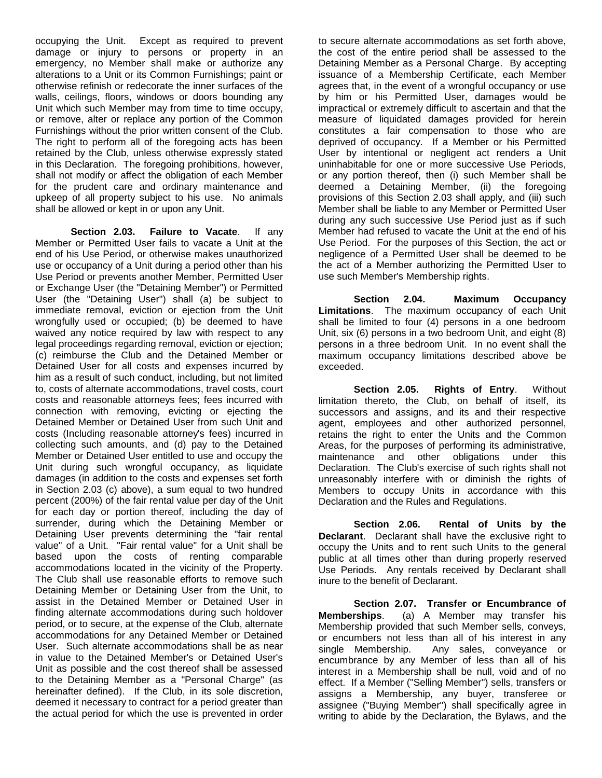occupying the Unit. Except as required to prevent damage or injury to persons or property in an emergency, no Member shall make or authorize any alterations to a Unit or its Common Furnishings; paint or otherwise refinish or redecorate the inner surfaces of the walls, ceilings, floors, windows or doors bounding any Unit which such Member may from time to time occupy, or remove, alter or replace any portion of the Common Furnishings without the prior written consent of the Club. The right to perform all of the foregoing acts has been retained by the Club, unless otherwise expressly stated in this Declaration. The foregoing prohibitions, however, shall not modify or affect the obligation of each Member for the prudent care and ordinary maintenance and upkeep of all property subject to his use. No animals shall be allowed or kept in or upon any Unit.

**Section 2.03. Failure to Vacate**. If any Member or Permitted User fails to vacate a Unit at the end of his Use Period, or otherwise makes unauthorized use or occupancy of a Unit during a period other than his Use Period or prevents another Member, Permitted User or Exchange User (the "Detaining Member") or Permitted User (the "Detaining User") shall (a) be subject to immediate removal, eviction or ejection from the Unit wrongfully used or occupied; (b) be deemed to have waived any notice required by law with respect to any legal proceedings regarding removal, eviction or ejection; (c) reimburse the Club and the Detained Member or Detained User for all costs and expenses incurred by him as a result of such conduct, including, but not limited to, costs of alternate accommodations, travel costs, court costs and reasonable attorneys fees; fees incurred with connection with removing, evicting or ejecting the Detained Member or Detained User from such Unit and costs (Including reasonable attorney's fees) incurred in collecting such amounts, and (d) pay to the Detained Member or Detained User entitled to use and occupy the Unit during such wrongful occupancy, as liquidate damages (in addition to the costs and expenses set forth in Section 2.03 (c) above), a sum equal to two hundred percent (200%) of the fair rental value per day of the Unit for each day or portion thereof, including the day of surrender, during which the Detaining Member or Detaining User prevents determining the "fair rental value" of a Unit. "Fair rental value" for a Unit shall be based upon the costs of renting comparable accommodations located in the vicinity of the Property. The Club shall use reasonable efforts to remove such Detaining Member or Detaining User from the Unit, to assist in the Detained Member or Detained User in finding alternate accommodations during such holdover period, or to secure, at the expense of the Club, alternate accommodations for any Detained Member or Detained User. Such alternate accommodations shall be as near in value to the Detained Member's or Detained User's Unit as possible and the cost thereof shall be assessed to the Detaining Member as a "Personal Charge" (as hereinafter defined). If the Club, in its sole discretion, deemed it necessary to contract for a period greater than the actual period for which the use is prevented in order

to secure alternate accommodations as set forth above, the cost of the entire period shall be assessed to the Detaining Member as a Personal Charge. By accepting issuance of a Membership Certificate, each Member agrees that, in the event of a wrongful occupancy or use by him or his Permitted User, damages would be impractical or extremely difficult to ascertain and that the measure of liquidated damages provided for herein constitutes a fair compensation to those who are deprived of occupancy. If a Member or his Permitted User by intentional or negligent act renders a Unit uninhabitable for one or more successive Use Periods, or any portion thereof, then (i) such Member shall be deemed a Detaining Member, (ii) the foregoing provisions of this Section 2.03 shall apply, and (iii) such Member shall be liable to any Member or Permitted User during any such successive Use Period just as if such Member had refused to vacate the Unit at the end of his Use Period. For the purposes of this Section, the act or negligence of a Permitted User shall be deemed to be the act of a Member authorizing the Permitted User to use such Member's Membership rights.

**Section 2.04. Maximum Occupancy Limitations**. The maximum occupancy of each Unit shall be limited to four (4) persons in a one bedroom Unit, six (6) persons in a two bedroom Unit, and eight (8) persons in a three bedroom Unit. In no event shall the maximum occupancy limitations described above be exceeded.

**Section 2.05. Rights of Entry**. Without limitation thereto, the Club, on behalf of itself, its successors and assigns, and its and their respective agent, employees and other authorized personnel, retains the right to enter the Units and the Common Areas, for the purposes of performing its administrative, maintenance and other obligations under this Declaration. The Club's exercise of such rights shall not unreasonably interfere with or diminish the rights of Members to occupy Units in accordance with this Declaration and the Rules and Regulations.

**Section 2.06. Rental of Units by the Declarant**. Declarant shall have the exclusive right to occupy the Units and to rent such Units to the general public at all times other than during properly reserved Use Periods. Any rentals received by Declarant shall inure to the benefit of Declarant.

**Section 2.07. Transfer or Encumbrance of Memberships**. (a) A Member may transfer his Membership provided that such Member sells, conveys, or encumbers not less than all of his interest in any single Membership. Any sales, conveyance or encumbrance by any Member of less than all of his interest in a Membership shall be null, void and of no effect. If a Member ("Selling Member") sells, transfers or assigns a Membership, any buyer, transferee or assignee ("Buying Member") shall specifically agree in writing to abide by the Declaration, the Bylaws, and the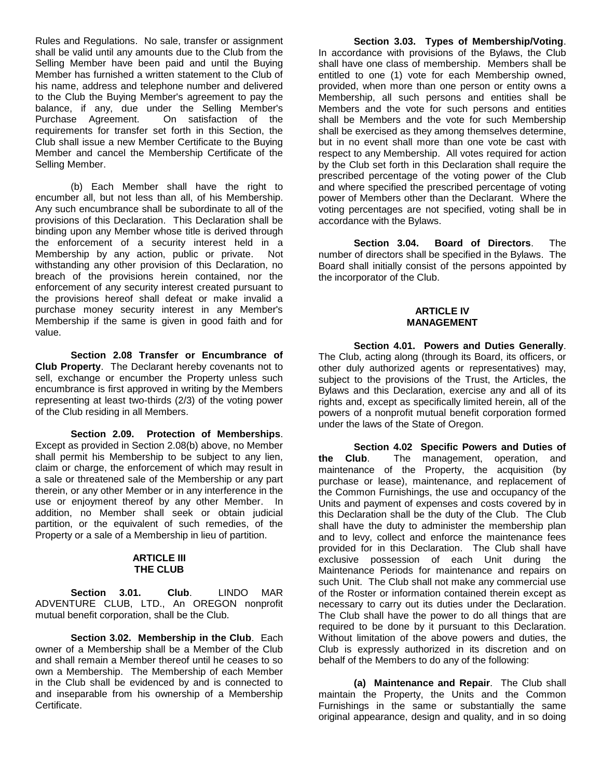Rules and Regulations. No sale, transfer or assignment shall be valid until any amounts due to the Club from the Selling Member have been paid and until the Buying Member has furnished a written statement to the Club of his name, address and telephone number and delivered to the Club the Buying Member's agreement to pay the balance, if any, due under the Selling Member's<br>Purchase Agreement. On satisfaction of the On satisfaction of the requirements for transfer set forth in this Section, the Club shall issue a new Member Certificate to the Buying Member and cancel the Membership Certificate of the Selling Member.

(b) Each Member shall have the right to encumber all, but not less than all, of his Membership. Any such encumbrance shall be subordinate to all of the provisions of this Declaration. This Declaration shall be binding upon any Member whose title is derived through the enforcement of a security interest held in a Membership by any action, public or private. Not withstanding any other provision of this Declaration, no breach of the provisions herein contained, nor the enforcement of any security interest created pursuant to the provisions hereof shall defeat or make invalid a purchase money security interest in any Member's Membership if the same is given in good faith and for value.

**Section 2.08 Transfer or Encumbrance of Club Property**. The Declarant hereby covenants not to sell, exchange or encumber the Property unless such encumbrance is first approved in writing by the Members representing at least two-thirds (2/3) of the voting power of the Club residing in all Members.

**Section 2.09. Protection of Memberships**. Except as provided in Section 2.08(b) above, no Member shall permit his Membership to be subject to any lien, claim or charge, the enforcement of which may result in a sale or threatened sale of the Membership or any part therein, or any other Member or in any interference in the use or enjoyment thereof by any other Member. In addition, no Member shall seek or obtain judicial partition, or the equivalent of such remedies, of the Property or a sale of a Membership in lieu of partition.

#### **ARTICLE III THE CLUB**

**Section 3.01. Club**. LINDO MAR ADVENTURE CLUB, LTD., An OREGON nonprofit mutual benefit corporation, shall be the Club.

**Section 3.02. Membership in the Club**. Each owner of a Membership shall be a Member of the Club and shall remain a Member thereof until he ceases to so own a Membership. The Membership of each Member in the Club shall be evidenced by and is connected to and inseparable from his ownership of a Membership Certificate.

**Section 3.03. Types of Membership/Voting**. In accordance with provisions of the Bylaws, the Club shall have one class of membership. Members shall be entitled to one (1) vote for each Membership owned, provided, when more than one person or entity owns a Membership, all such persons and entities shall be Members and the vote for such persons and entities shall be Members and the vote for such Membership shall be exercised as they among themselves determine, but in no event shall more than one vote be cast with respect to any Membership. All votes required for action by the Club set forth in this Declaration shall require the prescribed percentage of the voting power of the Club and where specified the prescribed percentage of voting power of Members other than the Declarant. Where the voting percentages are not specified, voting shall be in accordance with the Bylaws.

**Section 3.04. Board of Directors**. The number of directors shall be specified in the Bylaws. The Board shall initially consist of the persons appointed by the incorporator of the Club.

## **ARTICLE IV MANAGEMENT**

**Section 4.01. Powers and Duties Generally**. The Club, acting along (through its Board, its officers, or other duly authorized agents or representatives) may, subject to the provisions of the Trust, the Articles, the Bylaws and this Declaration, exercise any and all of its rights and, except as specifically limited herein, all of the powers of a nonprofit mutual benefit corporation formed under the laws of the State of Oregon.

**Section 4.02 Specific Powers and Duties of the Club**. The management, operation, and maintenance of the Property, the acquisition (by purchase or lease), maintenance, and replacement of the Common Furnishings, the use and occupancy of the Units and payment of expenses and costs covered by in this Declaration shall be the duty of the Club. The Club shall have the duty to administer the membership plan and to levy, collect and enforce the maintenance fees provided for in this Declaration. The Club shall have exclusive possession of each Unit during the Maintenance Periods for maintenance and repairs on such Unit. The Club shall not make any commercial use of the Roster or information contained therein except as necessary to carry out its duties under the Declaration. The Club shall have the power to do all things that are required to be done by it pursuant to this Declaration. Without limitation of the above powers and duties, the Club is expressly authorized in its discretion and on behalf of the Members to do any of the following:

**(a) Maintenance and Repair**. The Club shall maintain the Property, the Units and the Common Furnishings in the same or substantially the same original appearance, design and quality, and in so doing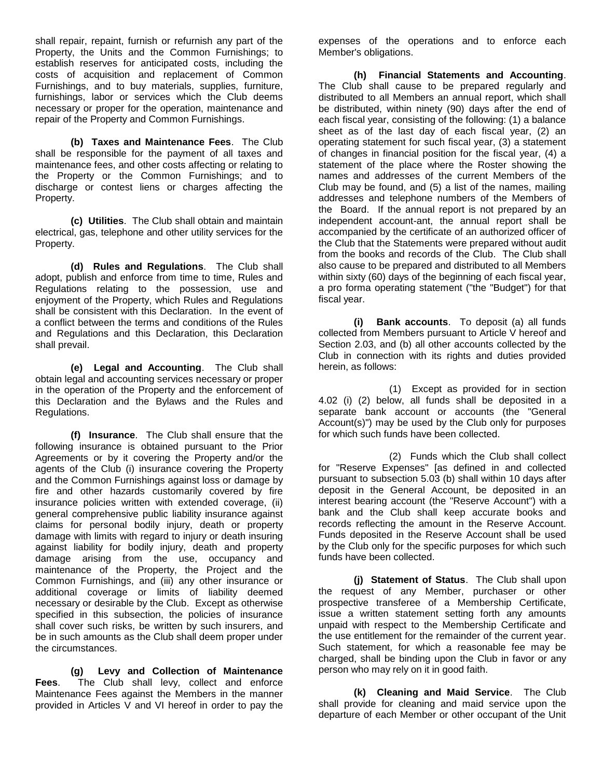shall repair, repaint, furnish or refurnish any part of the Property, the Units and the Common Furnishings; to establish reserves for anticipated costs, including the costs of acquisition and replacement of Common Furnishings, and to buy materials, supplies, furniture, furnishings, labor or services which the Club deems necessary or proper for the operation, maintenance and repair of the Property and Common Furnishings.

**(b) Taxes and Maintenance Fees**. The Club shall be responsible for the payment of all taxes and maintenance fees, and other costs affecting or relating to the Property or the Common Furnishings; and to discharge or contest liens or charges affecting the Property.

**(c) Utilities**. The Club shall obtain and maintain electrical, gas, telephone and other utility services for the Property.

**(d) Rules and Regulations**. The Club shall adopt, publish and enforce from time to time, Rules and Regulations relating to the possession, use and enjoyment of the Property, which Rules and Regulations shall be consistent with this Declaration. In the event of a conflict between the terms and conditions of the Rules and Regulations and this Declaration, this Declaration shall prevail.

**(e) Legal and Accounting**. The Club shall obtain legal and accounting services necessary or proper in the operation of the Property and the enforcement of this Declaration and the Bylaws and the Rules and Regulations.

**(f) Insurance**. The Club shall ensure that the following insurance is obtained pursuant to the Prior Agreements or by it covering the Property and/or the agents of the Club (i) insurance covering the Property and the Common Furnishings against loss or damage by fire and other hazards customarily covered by fire insurance policies written with extended coverage, (ii) general comprehensive public liability insurance against claims for personal bodily injury, death or property damage with limits with regard to injury or death insuring against liability for bodily injury, death and property damage arising from the use, occupancy and maintenance of the Property, the Project and the Common Furnishings, and (iii) any other insurance or additional coverage or limits of liability deemed necessary or desirable by the Club. Except as otherwise specified in this subsection, the policies of insurance shall cover such risks, be written by such insurers, and be in such amounts as the Club shall deem proper under the circumstances.

**(g) Levy and Collection of Maintenance Fees**. The Club shall levy, collect and enforce Maintenance Fees against the Members in the manner provided in Articles V and VI hereof in order to pay the

expenses of the operations and to enforce each Member's obligations.

**(h) Financial Statements and Accounting**. The Club shall cause to be prepared regularly and distributed to all Members an annual report, which shall be distributed, within ninety (90) days after the end of each fiscal year, consisting of the following: (1) a balance sheet as of the last day of each fiscal year, (2) an operating statement for such fiscal year, (3) a statement of changes in financial position for the fiscal year, (4) a statement of the place where the Roster showing the names and addresses of the current Members of the Club may be found, and (5) a list of the names, mailing addresses and telephone numbers of the Members of the Board. If the annual report is not prepared by an independent account-ant, the annual report shall be accompanied by the certificate of an authorized officer of the Club that the Statements were prepared without audit from the books and records of the Club. The Club shall also cause to be prepared and distributed to all Members within sixty (60) days of the beginning of each fiscal year, a pro forma operating statement ("the "Budget") for that fiscal year.

**(i) Bank accounts**. To deposit (a) all funds collected from Members pursuant to Article V hereof and Section 2.03, and (b) all other accounts collected by the Club in connection with its rights and duties provided herein, as follows:

(1) Except as provided for in section 4.02 (i) (2) below, all funds shall be deposited in a separate bank account or accounts (the "General Account(s)") may be used by the Club only for purposes for which such funds have been collected.

(2) Funds which the Club shall collect for "Reserve Expenses" [as defined in and collected pursuant to subsection 5.03 (b) shall within 10 days after deposit in the General Account, be deposited in an interest bearing account (the "Reserve Account") with a bank and the Club shall keep accurate books and records reflecting the amount in the Reserve Account. Funds deposited in the Reserve Account shall be used by the Club only for the specific purposes for which such funds have been collected.

**(j) Statement of Status**. The Club shall upon the request of any Member, purchaser or other prospective transferee of a Membership Certificate, issue a written statement setting forth any amounts unpaid with respect to the Membership Certificate and the use entitlement for the remainder of the current year. Such statement, for which a reasonable fee may be charged, shall be binding upon the Club in favor or any person who may rely on it in good faith.

**(k) Cleaning and Maid Service**. The Club shall provide for cleaning and maid service upon the departure of each Member or other occupant of the Unit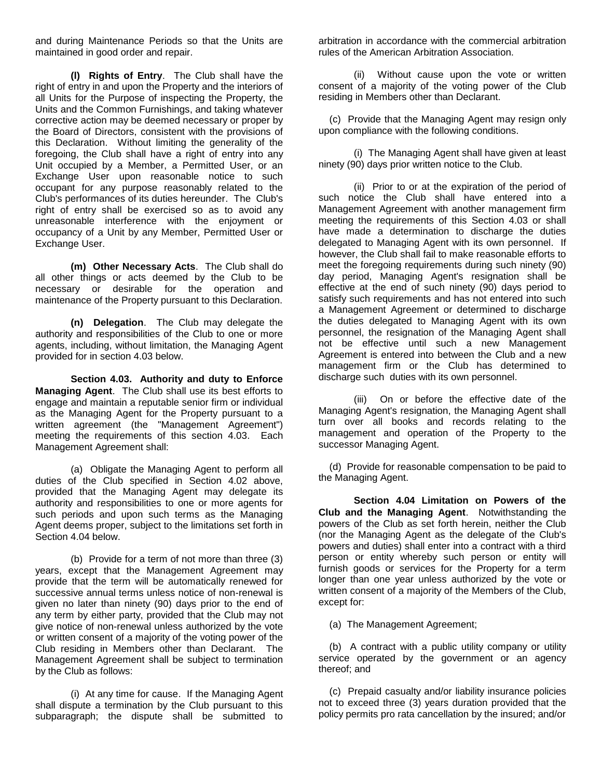and during Maintenance Periods so that the Units are maintained in good order and repair.

**(l) Rights of Entry**. The Club shall have the right of entry in and upon the Property and the interiors of all Units for the Purpose of inspecting the Property, the Units and the Common Furnishings, and taking whatever corrective action may be deemed necessary or proper by the Board of Directors, consistent with the provisions of this Declaration. Without limiting the generality of the foregoing, the Club shall have a right of entry into any Unit occupied by a Member, a Permitted User, or an Exchange User upon reasonable notice to such occupant for any purpose reasonably related to the Club's performances of its duties hereunder. The Club's right of entry shall be exercised so as to avoid any unreasonable interference with the enjoyment or occupancy of a Unit by any Member, Permitted User or Exchange User.

**(m) Other Necessary Acts**. The Club shall do all other things or acts deemed by the Club to be necessary or desirable for the operation and maintenance of the Property pursuant to this Declaration.

**(n) Delegation**. The Club may delegate the authority and responsibilities of the Club to one or more agents, including, without limitation, the Managing Agent provided for in section 4.03 below.

**Section 4.03. Authority and duty to Enforce Managing Agent**. The Club shall use its best efforts to engage and maintain a reputable senior firm or individual as the Managing Agent for the Property pursuant to a written agreement (the "Management Agreement") meeting the requirements of this section 4.03. Each Management Agreement shall:

(a) Obligate the Managing Agent to perform all duties of the Club specified in Section 4.02 above, provided that the Managing Agent may delegate its authority and responsibilities to one or more agents for such periods and upon such terms as the Managing Agent deems proper, subject to the limitations set forth in Section 4.04 below.

(b) Provide for a term of not more than three (3) years, except that the Management Agreement may provide that the term will be automatically renewed for successive annual terms unless notice of non-renewal is given no later than ninety (90) days prior to the end of any term by either party, provided that the Club may not give notice of non-renewal unless authorized by the vote or written consent of a majority of the voting power of the Club residing in Members other than Declarant. The Management Agreement shall be subject to termination by the Club as follows:

(i) At any time for cause. If the Managing Agent shall dispute a termination by the Club pursuant to this subparagraph; the dispute shall be submitted to

arbitration in accordance with the commercial arbitration rules of the American Arbitration Association.

(ii) Without cause upon the vote or written consent of a majority of the voting power of the Club residing in Members other than Declarant.

 (c) Provide that the Managing Agent may resign only upon compliance with the following conditions.

(i) The Managing Agent shall have given at least ninety (90) days prior written notice to the Club.

(ii) Prior to or at the expiration of the period of such notice the Club shall have entered into a Management Agreement with another management firm meeting the requirements of this Section 4.03 or shall have made a determination to discharge the duties delegated to Managing Agent with its own personnel. If however, the Club shall fail to make reasonable efforts to meet the foregoing requirements during such ninety (90) day period, Managing Agent's resignation shall be effective at the end of such ninety (90) days period to satisfy such requirements and has not entered into such a Management Agreement or determined to discharge the duties delegated to Managing Agent with its own personnel, the resignation of the Managing Agent shall not be effective until such a new Management Agreement is entered into between the Club and a new management firm or the Club has determined to discharge such duties with its own personnel.

(iii) On or before the effective date of the Managing Agent's resignation, the Managing Agent shall turn over all books and records relating to the management and operation of the Property to the successor Managing Agent.

 (d) Provide for reasonable compensation to be paid to the Managing Agent.

**Section 4.04 Limitation on Powers of the Club and the Managing Agent**. Notwithstanding the powers of the Club as set forth herein, neither the Club (nor the Managing Agent as the delegate of the Club's powers and duties) shall enter into a contract with a third person or entity whereby such person or entity will furnish goods or services for the Property for a term longer than one year unless authorized by the vote or written consent of a majority of the Members of the Club, except for:

(a) The Management Agreement;

 (b) A contract with a public utility company or utility service operated by the government or an agency thereof; and

 (c) Prepaid casualty and/or liability insurance policies not to exceed three (3) years duration provided that the policy permits pro rata cancellation by the insured; and/or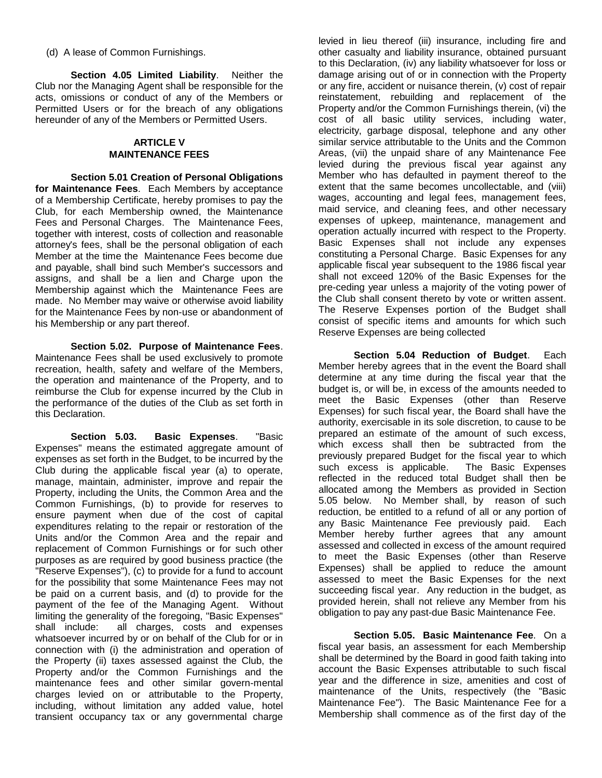(d) A lease of Common Furnishings.

**Section 4.05 Limited Liability**. Neither the Club nor the Managing Agent shall be responsible for the acts, omissions or conduct of any of the Members or Permitted Users or for the breach of any obligations hereunder of any of the Members or Permitted Users.

# **ARTICLE V MAINTENANCE FEES**

**Section 5.01 Creation of Personal Obligations for Maintenance Fees**. Each Members by acceptance of a Membership Certificate, hereby promises to pay the Club, for each Membership owned, the Maintenance Fees and Personal Charges. The Maintenance Fees, together with interest, costs of collection and reasonable attorney's fees, shall be the personal obligation of each Member at the time the Maintenance Fees become due and payable, shall bind such Member's successors and assigns, and shall be a lien and Charge upon the Membership against which the Maintenance Fees are made. No Member may waive or otherwise avoid liability for the Maintenance Fees by non-use or abandonment of his Membership or any part thereof.

**Section 5.02. Purpose of Maintenance Fees**. Maintenance Fees shall be used exclusively to promote recreation, health, safety and welfare of the Members, the operation and maintenance of the Property, and to reimburse the Club for expense incurred by the Club in the performance of the duties of the Club as set forth in this Declaration.

**Section 5.03. Basic Expenses**. "Basic Expenses" means the estimated aggregate amount of expenses as set forth in the Budget, to be incurred by the Club during the applicable fiscal year (a) to operate, manage, maintain, administer, improve and repair the Property, including the Units, the Common Area and the Common Furnishings, (b) to provide for reserves to ensure payment when due of the cost of capital expenditures relating to the repair or restoration of the Units and/or the Common Area and the repair and replacement of Common Furnishings or for such other purposes as are required by good business practice (the "Reserve Expenses"), (c) to provide for a fund to account for the possibility that some Maintenance Fees may not be paid on a current basis, and (d) to provide for the payment of the fee of the Managing Agent. Without limiting the generality of the foregoing, "Basic Expenses" shall include: all charges, costs and expenses whatsoever incurred by or on behalf of the Club for or in connection with (i) the administration and operation of the Property (ii) taxes assessed against the Club, the Property and/or the Common Furnishings and the maintenance fees and other similar govern-mental charges levied on or attributable to the Property, including, without limitation any added value, hotel transient occupancy tax or any governmental charge

levied in lieu thereof (iii) insurance, including fire and other casualty and liability insurance, obtained pursuant to this Declaration, (iv) any liability whatsoever for loss or damage arising out of or in connection with the Property or any fire, accident or nuisance therein, (v) cost of repair reinstatement, rebuilding and replacement of the Property and/or the Common Furnishings therein, (vi) the cost of all basic utility services, including water, electricity, garbage disposal, telephone and any other similar service attributable to the Units and the Common Areas, (vii) the unpaid share of any Maintenance Fee levied during the previous fiscal year against any Member who has defaulted in payment thereof to the extent that the same becomes uncollectable, and (viii) wages, accounting and legal fees, management fees, maid service, and cleaning fees, and other necessary expenses of upkeep, maintenance, management and operation actually incurred with respect to the Property. Basic Expenses shall not include any expenses constituting a Personal Charge. Basic Expenses for any applicable fiscal year subsequent to the 1986 fiscal year shall not exceed 120% of the Basic Expenses for the pre-ceding year unless a majority of the voting power of the Club shall consent thereto by vote or written assent. The Reserve Expenses portion of the Budget shall consist of specific items and amounts for which such Reserve Expenses are being collected

**Section 5.04 Reduction of Budget**. Each Member hereby agrees that in the event the Board shall determine at any time during the fiscal year that the budget is, or will be, in excess of the amounts needed to meet the Basic Expenses (other than Reserve Expenses) for such fiscal year, the Board shall have the authority, exercisable in its sole discretion, to cause to be prepared an estimate of the amount of such excess, which excess shall then be subtracted from the previously prepared Budget for the fiscal year to which such excess is applicable. The Basic Expenses reflected in the reduced total Budget shall then be allocated among the Members as provided in Section 5.05 below. No Member shall, by reason of such reduction, be entitled to a refund of all or any portion of any Basic Maintenance Fee previously paid. Each Member hereby further agrees that any amount assessed and collected in excess of the amount required to meet the Basic Expenses (other than Reserve Expenses) shall be applied to reduce the amount assessed to meet the Basic Expenses for the next succeeding fiscal year. Any reduction in the budget, as provided herein, shall not relieve any Member from his obligation to pay any past-due Basic Maintenance Fee.

**Section 5.05. Basic Maintenance Fee**. On a fiscal year basis, an assessment for each Membership shall be determined by the Board in good faith taking into account the Basic Expenses attributable to such fiscal year and the difference in size, amenities and cost of maintenance of the Units, respectively (the "Basic Maintenance Fee"). The Basic Maintenance Fee for a Membership shall commence as of the first day of the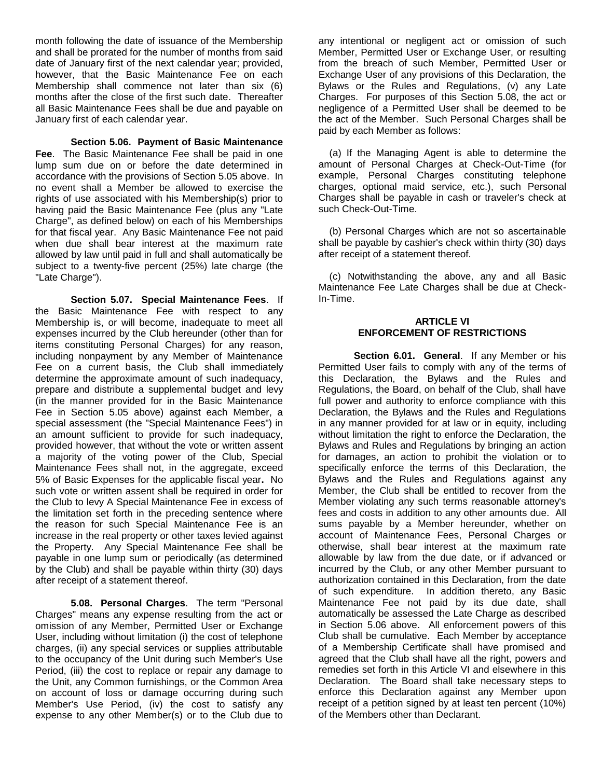month following the date of issuance of the Membership and shall be prorated for the number of months from said date of January first of the next calendar year; provided, however, that the Basic Maintenance Fee on each Membership shall commence not later than six (6) months after the close of the first such date. Thereafter all Basic Maintenance Fees shall be due and payable on January first of each calendar year.

**Section 5.06. Payment of Basic Maintenance Fee**. The Basic Maintenance Fee shall be paid in one lump sum due on or before the date determined in accordance with the provisions of Section 5.05 above. In no event shall a Member be allowed to exercise the rights of use associated with his Membership(s) prior to having paid the Basic Maintenance Fee (plus any "Late Charge", as defined below) on each of his Memberships for that fiscal year. Any Basic Maintenance Fee not paid when due shall bear interest at the maximum rate allowed by law until paid in full and shall automatically be subject to a twenty-five percent (25%) late charge (the "Late Charge").

**Section 5.07. Special Maintenance Fees**. If the Basic Maintenance Fee with respect to any Membership is, or will become, inadequate to meet all expenses incurred by the Club hereunder (other than for items constituting Personal Charges) for any reason, including nonpayment by any Member of Maintenance Fee on a current basis, the Club shall immediately determine the approximate amount of such inadequacy, prepare and distribute a supplemental budget and levy (in the manner provided for in the Basic Maintenance Fee in Section 5.05 above) against each Member, a special assessment (the "Special Maintenance Fees") in an amount sufficient to provide for such inadequacy, provided however, that without the vote or written assent a majority of the voting power of the Club, Special Maintenance Fees shall not, in the aggregate, exceed 5% of Basic Expenses for the applicable fiscal year**.** No such vote or written assent shall be required in order for the Club to levy A Special Maintenance Fee in excess of the limitation set forth in the preceding sentence where the reason for such Special Maintenance Fee is an increase in the real property or other taxes levied against the Property. Any Special Maintenance Fee shall be payable in one lump sum or periodically (as determined by the Club) and shall be payable within thirty (30) days after receipt of a statement thereof.

**5.08. Personal Charges**. The term "Personal Charges" means any expense resulting from the act or omission of any Member, Permitted User or Exchange User, including without limitation (i) the cost of telephone charges, (ii) any special services or supplies attributable to the occupancy of the Unit during such Member's Use Period, (iii) the cost to replace or repair any damage to the Unit, any Common furnishings, or the Common Area on account of loss or damage occurring during such Member's Use Period, (iv) the cost to satisfy any expense to any other Member(s) or to the Club due to

any intentional or negligent act or omission of such Member, Permitted User or Exchange User, or resulting from the breach of such Member, Permitted User or Exchange User of any provisions of this Declaration, the Bylaws or the Rules and Regulations, (v) any Late Charges. For purposes of this Section 5.08, the act or negligence of a Permitted User shall be deemed to be the act of the Member. Such Personal Charges shall be paid by each Member as follows:

(a) If the Managing Agent is able to determine the amount of Personal Charges at Check-Out-Time (for example, Personal Charges constituting telephone charges, optional maid service, etc.), such Personal Charges shall be payable in cash or traveler's check at such Check-Out-Time.

(b) Personal Charges which are not so ascertainable shall be payable by cashier's check within thirty (30) days after receipt of a statement thereof.

(c) Notwithstanding the above, any and all Basic Maintenance Fee Late Charges shall be due at Check-In-Time.

## **ARTICLE VI ENFORCEMENT OF RESTRICTIONS**

**Section 6.01. General**. If any Member or his Permitted User fails to comply with any of the terms of this Declaration, the Bylaws and the Rules and Regulations, the Board, on behalf of the Club, shall have full power and authority to enforce compliance with this Declaration, the Bylaws and the Rules and Regulations in any manner provided for at law or in equity, including without limitation the right to enforce the Declaration, the Bylaws and Rules and Regulations by bringing an action for damages, an action to prohibit the violation or to specifically enforce the terms of this Declaration, the Bylaws and the Rules and Regulations against any Member, the Club shall be entitled to recover from the Member violating any such terms reasonable attorney's fees and costs in addition to any other amounts due. All sums payable by a Member hereunder, whether on account of Maintenance Fees, Personal Charges or otherwise, shall bear interest at the maximum rate allowable by law from the due date, or if advanced or incurred by the Club, or any other Member pursuant to authorization contained in this Declaration, from the date of such expenditure. In addition thereto, any Basic Maintenance Fee not paid by its due date, shall automatically be assessed the Late Charge as described in Section 5.06 above. All enforcement powers of this Club shall be cumulative. Each Member by acceptance of a Membership Certificate shall have promised and agreed that the Club shall have all the right, powers and remedies set forth in this Article VI and elsewhere in this Declaration. The Board shall take necessary steps to enforce this Declaration against any Member upon receipt of a petition signed by at least ten percent (10%) of the Members other than Declarant.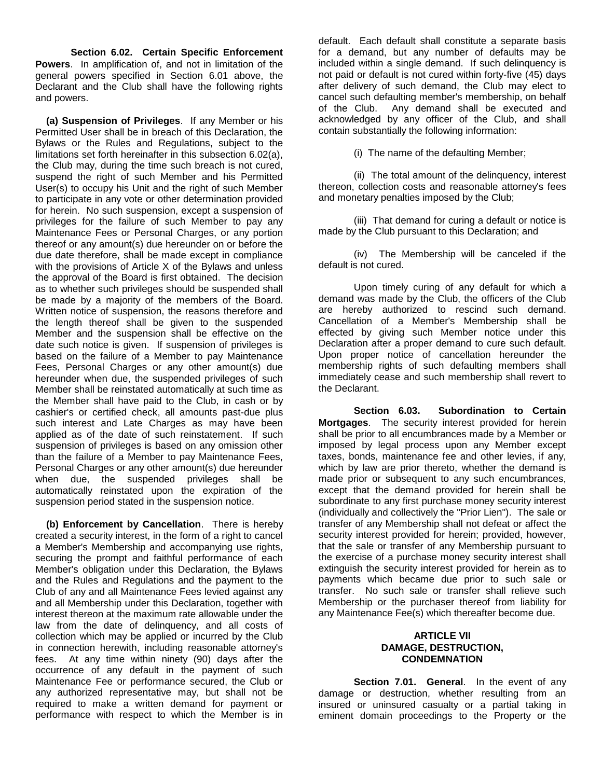**Section 6.02. Certain Specific Enforcement Powers**. In amplification of, and not in limitation of the general powers specified in Section 6.01 above, the Declarant and the Club shall have the following rights and powers.

 **(a) Suspension of Privileges**. If any Member or his Permitted User shall be in breach of this Declaration, the Bylaws or the Rules and Regulations, subject to the limitations set forth hereinafter in this subsection 6.02(a), the Club may, during the time such breach is not cured, suspend the right of such Member and his Permitted User(s) to occupy his Unit and the right of such Member to participate in any vote or other determination provided for herein. No such suspension, except a suspension of privileges for the failure of such Member to pay any Maintenance Fees or Personal Charges, or any portion thereof or any amount(s) due hereunder on or before the due date therefore, shall be made except in compliance with the provisions of Article X of the Bylaws and unless the approval of the Board is first obtained. The decision as to whether such privileges should be suspended shall be made by a majority of the members of the Board. Written notice of suspension, the reasons therefore and the length thereof shall be given to the suspended Member and the suspension shall be effective on the date such notice is given. If suspension of privileges is based on the failure of a Member to pay Maintenance Fees, Personal Charges or any other amount(s) due hereunder when due, the suspended privileges of such Member shall be reinstated automatically at such time as the Member shall have paid to the Club, in cash or by cashier's or certified check, all amounts past-due plus such interest and Late Charges as may have been applied as of the date of such reinstatement. If such suspension of privileges is based on any omission other than the failure of a Member to pay Maintenance Fees, Personal Charges or any other amount(s) due hereunder when due, the suspended privileges shall be automatically reinstated upon the expiration of the suspension period stated in the suspension notice.

 **(b) Enforcement by Cancellation**. There is hereby created a security interest, in the form of a right to cancel a Member's Membership and accompanying use rights, securing the prompt and faithful performance of each Member's obligation under this Declaration, the Bylaws and the Rules and Regulations and the payment to the Club of any and all Maintenance Fees levied against any and all Membership under this Declaration, together with interest thereon at the maximum rate allowable under the law from the date of delinquency, and all costs of collection which may be applied or incurred by the Club in connection herewith, including reasonable attorney's fees. At any time within ninety (90) days after the occurrence of any default in the payment of such Maintenance Fee or performance secured, the Club or any authorized representative may, but shall not be required to make a written demand for payment or performance with respect to which the Member is in

default. Each default shall constitute a separate basis for a demand, but any number of defaults may be included within a single demand. If such delinquency is not paid or default is not cured within forty-five (45) days after delivery of such demand, the Club may elect to cancel such defaulting member's membership, on behalf of the Club. Any demand shall be executed and acknowledged by any officer of the Club, and shall contain substantially the following information:

(i) The name of the defaulting Member;

(ii) The total amount of the delinquency, interest thereon, collection costs and reasonable attorney's fees and monetary penalties imposed by the Club;

(iii) That demand for curing a default or notice is made by the Club pursuant to this Declaration; and

(iv) The Membership will be canceled if the default is not cured.

Upon timely curing of any default for which a demand was made by the Club, the officers of the Club are hereby authorized to rescind such demand. Cancellation of a Member's Membership shall be effected by giving such Member notice under this Declaration after a proper demand to cure such default. Upon proper notice of cancellation hereunder the membership rights of such defaulting members shall immediately cease and such membership shall revert to the Declarant.

**Section 6.03. Subordination to Certain Mortgages**. The security interest provided for herein shall be prior to all encumbrances made by a Member or imposed by legal process upon any Member except taxes, bonds, maintenance fee and other levies, if any, which by law are prior thereto, whether the demand is made prior or subsequent to any such encumbrances, except that the demand provided for herein shall be subordinate to any first purchase money security interest (individually and collectively the "Prior Lien"). The sale or transfer of any Membership shall not defeat or affect the security interest provided for herein; provided, however, that the sale or transfer of any Membership pursuant to the exercise of a purchase money security interest shall extinguish the security interest provided for herein as to payments which became due prior to such sale or transfer. No such sale or transfer shall relieve such Membership or the purchaser thereof from liability for any Maintenance Fee(s) which thereafter become due.

#### **ARTICLE VII DAMAGE, DESTRUCTION, CONDEMNATION**

**Section 7.01. General**. In the event of any damage or destruction, whether resulting from an insured or uninsured casualty or a partial taking in eminent domain proceedings to the Property or the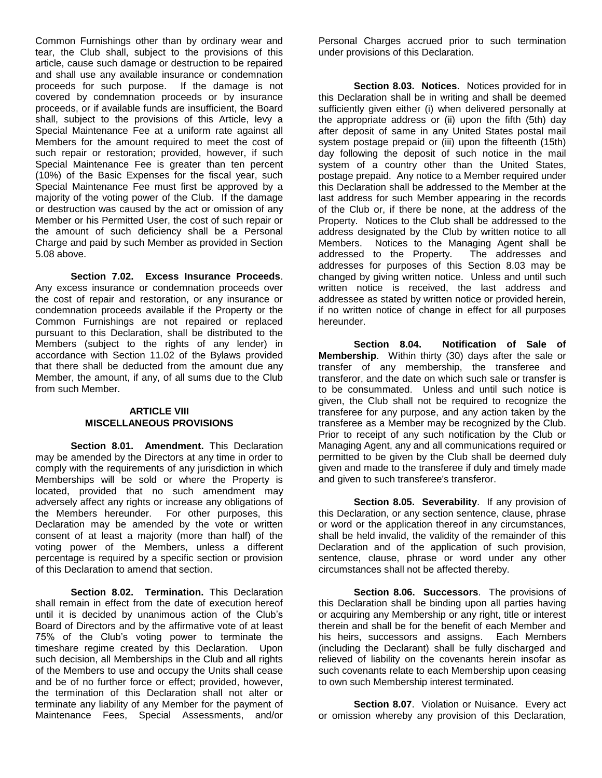Common Furnishings other than by ordinary wear and tear, the Club shall, subject to the provisions of this article, cause such damage or destruction to be repaired and shall use any available insurance or condemnation proceeds for such purpose. If the damage is not covered by condemnation proceeds or by insurance proceeds, or if available funds are insufficient, the Board shall, subject to the provisions of this Article, levy a Special Maintenance Fee at a uniform rate against all Members for the amount required to meet the cost of such repair or restoration; provided, however, if such Special Maintenance Fee is greater than ten percent (10%) of the Basic Expenses for the fiscal year, such Special Maintenance Fee must first be approved by a majority of the voting power of the Club. If the damage or destruction was caused by the act or omission of any Member or his Permitted User, the cost of such repair or the amount of such deficiency shall be a Personal Charge and paid by such Member as provided in Section 5.08 above.

**Section 7.02. Excess Insurance Proceeds**. Any excess insurance or condemnation proceeds over the cost of repair and restoration, or any insurance or condemnation proceeds available if the Property or the Common Furnishings are not repaired or replaced pursuant to this Declaration, shall be distributed to the Members (subject to the rights of any lender) in accordance with Section 11.02 of the Bylaws provided that there shall be deducted from the amount due any Member, the amount, if any, of all sums due to the Club from such Member.

#### **ARTICLE VIII MISCELLANEOUS PROVISIONS**

**Section 8.01. Amendment.** This Declaration may be amended by the Directors at any time in order to comply with the requirements of any jurisdiction in which Memberships will be sold or where the Property is located, provided that no such amendment may adversely affect any rights or increase any obligations of the Members hereunder. For other purposes, this Declaration may be amended by the vote or written consent of at least a majority (more than half) of the voting power of the Members, unless a different percentage is required by a specific section or provision of this Declaration to amend that section.

**Section 8.02. Termination.** This Declaration shall remain in effect from the date of execution hereof until it is decided by unanimous action of the Club's Board of Directors and by the affirmative vote of at least 75% of the Club's voting power to terminate the timeshare regime created by this Declaration. Upon such decision, all Memberships in the Club and all rights of the Members to use and occupy the Units shall cease and be of no further force or effect; provided, however, the termination of this Declaration shall not alter or terminate any liability of any Member for the payment of Maintenance Fees, Special Assessments, and/or

Personal Charges accrued prior to such termination under provisions of this Declaration.

**Section 8.03. Notices**. Notices provided for in this Declaration shall be in writing and shall be deemed sufficiently given either (i) when delivered personally at the appropriate address or (ii) upon the fifth (5th) day after deposit of same in any United States postal mail system postage prepaid or (iii) upon the fifteenth (15th) day following the deposit of such notice in the mail system of a country other than the United States, postage prepaid. Any notice to a Member required under this Declaration shall be addressed to the Member at the last address for such Member appearing in the records of the Club or, if there be none, at the address of the Property. Notices to the Club shall be addressed to the address designated by the Club by written notice to all Members. Notices to the Managing Agent shall be addressed to the Property. The addresses and addresses for purposes of this Section 8.03 may be changed by giving written notice. Unless and until such written notice is received, the last address and addressee as stated by written notice or provided herein, if no written notice of change in effect for all purposes hereunder.

**Section 8.04. Notification of Sale of Membership**. Within thirty (30) days after the sale or transfer of any membership, the transferee and transferor, and the date on which such sale or transfer is to be consummated. Unless and until such notice is given, the Club shall not be required to recognize the transferee for any purpose, and any action taken by the transferee as a Member may be recognized by the Club. Prior to receipt of any such notification by the Club or Managing Agent, any and all communications required or permitted to be given by the Club shall be deemed duly given and made to the transferee if duly and timely made and given to such transferee's transferor.

**Section 8.05. Severability**. If any provision of this Declaration, or any section sentence, clause, phrase or word or the application thereof in any circumstances, shall be held invalid, the validity of the remainder of this Declaration and of the application of such provision, sentence, clause, phrase or word under any other circumstances shall not be affected thereby.

**Section 8.06. Successors**. The provisions of this Declaration shall be binding upon all parties having or acquiring any Membership or any right, title or interest therein and shall be for the benefit of each Member and his heirs, successors and assigns. Each Members (including the Declarant) shall be fully discharged and relieved of liability on the covenants herein insofar as such covenants relate to each Membership upon ceasing to own such Membership interest terminated.

**Section 8.07.** Violation or Nuisance. Every act or omission whereby any provision of this Declaration,